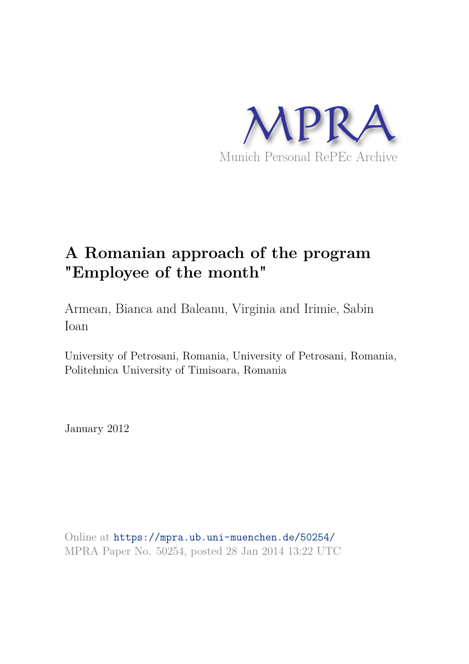

# **A Romanian approach of the program "Employee of the month"**

Armean, Bianca and Baleanu, Virginia and Irimie, Sabin Ioan

University of Petrosani, Romania, University of Petrosani, Romania, Politehnica University of Timisoara, Romania

January 2012

Online at https://mpra.ub.uni-muenchen.de/50254/ MPRA Paper No. 50254, posted 28 Jan 2014 13:22 UTC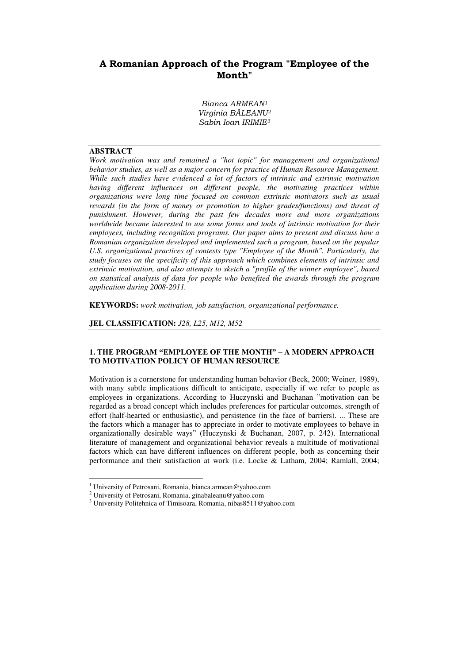## **A Romanian Approach of the Program "Employee of the Month"**

*Bianca ARMEAN<sup>1</sup> Virginia BĂLEANU<sup>2</sup> Sabin Ioan IRIMIE<sup>3</sup>*

## **ABSTRACT**

 $\overline{a}$ 

*Work motivation was and remained a "hot topic" for management and organizational behavior studies, as well as a major concern for practice of Human Resource Management. While such studies have evidenced a lot of factors of intrinsic and extrinsic motivation having different influences on different people, the motivating practices within organizations were long time focused on common extrinsic motivators such as usual rewards (in the form of money or promotion to higher grades/functions) and threat of punishment. However, during the past few decades more and more organizations worldwide became interested to use some forms and tools of intrinsic motivation for their employees, including recognition programs. Our paper aims to present and discuss how a Romanian organization developed and implemented such a program, based on the popular U.S. organizational practices of contests type "Employee of the Month". Particularly, the study focuses on the specificity of this approach which combines elements of intrinsic and extrinsic motivation, and also attempts to sketch a "profile of the winner employee", based on statistical analysis of data for people who benefited the awards through the program application during 2008-2011.* 

**KEYWORDS:** *work motivation, job satisfaction, organizational performance.* 

**JEL CLASSIFICATION:** *J28, L25, M12, M52* 

#### **1. THE PROGRAM "EMPLOYEE OF THE MONTH" – A MODERN APPROACH TO MOTIVATION POLICY OF HUMAN RESOURCE**

Motivation is a cornerstone for understanding human behavior (Beck, 2000; Weiner, 1989), with many subtle implications difficult to anticipate, especially if we refer to people as employees in organizations. According to Huczynski and Buchanan "motivation can be regarded as a broad concept which includes preferences for particular outcomes, strength of effort (half-hearted or enthusiastic), and persistence (in the face of barriers). ... These are the factors which a manager has to appreciate in order to motivate employees to behave in organizationally desirable ways" (Huczynski & Buchanan, 2007, p. 242). International literature of management and organizational behavior reveals a multitude of motivational factors which can have different influences on different people, both as concerning their performance and their satisfaction at work (i.e. Locke & Latham, 2004; Ramlall, 2004;

<sup>&</sup>lt;sup>1</sup> University of Petrosani, Romania, bianca.armean@yahoo.com

<sup>&</sup>lt;sup>2</sup> University of Petrosani, Romania, ginabaleanu@yahoo.com

<sup>&</sup>lt;sup>3</sup> University Politehnica of Timisoara, Romania, nibas8511@yahoo.com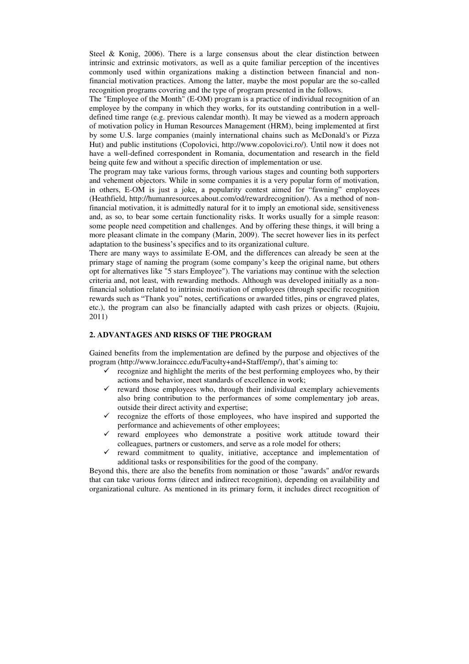Steel & Konig, 2006). There is a large consensus about the clear distinction between intrinsic and extrinsic motivators, as well as a quite familiar perception of the incentives commonly used within organizations making a distinction between financial and nonfinancial motivation practices. Among the latter, maybe the most popular are the so-called recognition programs covering and the type of program presented in the follows.

The "Employee of the Month" (E-OM) program is a practice of individual recognition of an employee by the company in which they works, for its outstanding contribution in a welldefined time range (e.g. previous calendar month). It may be viewed as a modern approach of motivation policy in Human Resources Management (HRM), being implemented at first by some U.S. large companies (mainly international chains such as McDonald's or Pizza Hut) and public institutions (Copolovici, http://www.copolovici.ro/). Until now it does not have a well-defined correspondent in Romania, documentation and research in the field being quite few and without a specific direction of implementation or use.

The program may take various forms, through various stages and counting both supporters and vehement objectors. While in some companies it is a very popular form of motivation, in others, E-OM is just a joke, a popularity contest aimed for "fawning" employees (Heathfield, http://humanresources.about.com/od/rewardrecognition/). As a method of nonfinancial motivation, it is admittedly natural for it to imply an emotional side, sensitiveness and, as so, to bear some certain functionality risks. It works usually for a simple reason: some people need competition and challenges. And by offering these things, it will bring a more pleasant climate in the company (Marin, 2009). The secret however lies in its perfect adaptation to the business's specifics and to its organizational culture.

There are many ways to assimilate E-OM, and the differences can already be seen at the primary stage of naming the program (some company's keep the original name, but others opt for alternatives like "5 stars Employee"). The variations may continue with the selection criteria and, not least, with rewarding methods. Although was developed initially as a nonfinancial solution related to intrinsic motivation of employees (through specific recognition rewards such as "Thank you" notes, certifications or awarded titles, pins or engraved plates, etc.), the program can also be financially adapted with cash prizes or objects. (Rujoiu, 2011)

#### **2. ADVANTAGES AND RISKS OF THE PROGRAM**

Gained benefits from the implementation are defined by the purpose and objectives of the program (http://www.lorainccc.edu/Faculty+and+Staff/emp/), that's aiming to:

- $\checkmark$  recognize and highlight the merits of the best performing employees who, by their actions and behavior, meet standards of excellence in work;
- $\checkmark$  reward those employees who, through their individual exemplary achievements also bring contribution to the performances of some complementary job areas, outside their direct activity and expertise;
- $\checkmark$  recognize the efforts of those employees, who have inspired and supported the performance and achievements of other employees;
- reward employees who demonstrate a positive work attitude toward their colleagues, partners or customers, and serve as a role model for others;
- $\checkmark$  reward commitment to quality, initiative, acceptance and implementation of additional tasks or responsibilities for the good of the company.

Beyond this, there are also the benefits from nomination or those "awards" and/or rewards that can take various forms (direct and indirect recognition), depending on availability and organizational culture. As mentioned in its primary form, it includes direct recognition of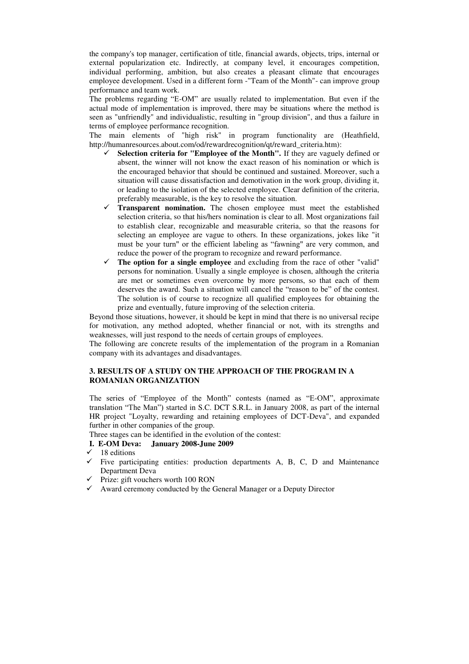the company's top manager, certification of title, financial awards, objects, trips, internal or external popularization etc. Indirectly, at company level, it encourages competition, individual performing, ambition, but also creates a pleasant climate that encourages employee development. Used in a different form -"Team of the Month"- can improve group performance and team work.

The problems regarding "E-OM" are usually related to implementation. But even if the actual mode of implementation is improved, there may be situations where the method is seen as "unfriendly" and individualistic, resulting in "group division", and thus a failure in terms of employee performance recognition.

The main elements of "high risk" in program functionality are [\(Heathfield,](http://humanresources.about.com/bio/Susan-M-Heathfield-6016.htm) http://humanresources.about.com/od/rewardrecognition/qt/reward\_criteria.htm):

- **Selection criteria for "Employee of the Month".** If they are vaguely defined or absent, the winner will not know the exact reason of his nomination or which is the encouraged behavior that should be continued and sustained. Moreover, such a situation will cause dissatisfaction and demotivation in the work group, dividing it, or leading to the isolation of the selected employee. Clear definition of the criteria, preferably measurable, is the key to resolve the situation.
- **Transparent nomination.** The chosen employee must meet the established selection criteria, so that his/hers nomination is clear to all. Most organizations fail to establish clear, recognizable and measurable criteria, so that the reasons for selecting an employee are vague to others. In these organizations, jokes like "it must be your turn" or the efficient labeling as "fawning" are very common, and reduce the power of the program to recognize and reward performance.
- **The option for a single employee** and excluding from the race of other "valid" persons for nomination. Usually a single employee is chosen, although the criteria are met or sometimes even overcome by more persons, so that each of them deserves the award. Such a situation will cancel the "reason to be" of the contest. The solution is of course to recognize all qualified employees for obtaining the prize and eventually, future improving of the selection criteria.

Beyond those situations, however, it should be kept in mind that there is no universal recipe for motivation, any method adopted, whether financial or not, with its strengths and weaknesses, will just respond to the needs of certain groups of employees.

The following are concrete results of the implementation of the program in a Romanian company with its advantages and disadvantages.

## **3. RESULTS OF A STUDY ON THE APPROACH OF THE PROGRAM IN A ROMANIAN ORGANIZATION**

The series of "Employee of the Month" contests (named as "E-OM", approximate translation "The Man") started in S.C. DCT S.R.L. in January 2008, as part of the internal HR project "Loyalty, rewarding and retaining employees of DCT-Deva", and expanded further in other companies of the group.

Three stages can be identified in the evolution of the contest:

## **I. E-OM Deva: January 2008-June 2009**

- $\checkmark$  18 editions
- $\checkmark$  Five participating entities: production departments A, B, C, D and Maintenance Department Deva
- $\checkmark$  Prize: gift vouchers worth 100 RON
- $\checkmark$  Award ceremony conducted by the General Manager or a Deputy Director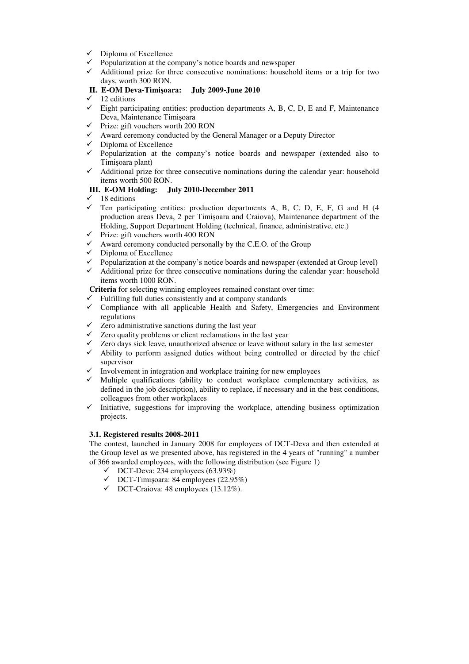- $\checkmark$  Diploma of Excellence
- $\checkmark$  Popularization at the company's notice boards and newspaper
- $\checkmark$  Additional prize for three consecutive nominations: household items or a trip for two days, worth 300 RON.

## **II. E-OM Deva-Timişoara: July 2009-June 2010**

- $\checkmark$  12 editions
- $\checkmark$  Eight participating entities: production departments A, B, C, D, E and F, Maintenance Deva, Maintenance Timişoara
- $\checkmark$  Prize: gift vouchers worth 200 RON
- $\checkmark$  Award ceremony conducted by the General Manager or a Deputy Director
- $\checkmark$  Diploma of Excellence
- $\checkmark$  Popularization at the company's notice boards and newspaper (extended also to Timişoara plant)
- $\checkmark$  Additional prize for three consecutive nominations during the calendar year: household items worth 500 RON.

## **III. E-OM Holding: July 2010-December 2011**

- $\checkmark$  18 editions
- $\checkmark$  Ten participating entities: production departments A, B, C, D, E, F, G and H (4 production areas Deva, 2 per Timişoara and Craiova), Maintenance department of the Holding, Support Department Holding (technical, finance, administrative, etc.)
- $\checkmark$  Prize: gift vouchers worth 400 RON
- $\checkmark$  Award ceremony conducted personally by the C.E.O. of the Group
- $\checkmark$  Diploma of Excellence
- $\checkmark$  Popularization at the company's notice boards and newspaper (extended at Group level)  $\checkmark$  Additional prize for three consecutive nominations during the calendar vear: household
- Additional prize for three consecutive nominations during the calendar year: household items worth 1000 RON.

**Criteria** for selecting winning employees remained constant over time:

- Fulfilling full duties consistently and at company standards
- $\checkmark$  Compliance with all applicable Health and Safety, Emergencies and Environment regulations
- $\checkmark$  Zero administrative sanctions during the last year
- $\checkmark$  Zero quality problems or client reclamations in the last year
- $\checkmark$  Zero days sick leave, unauthorized absence or leave without salary in the last semester
- $\checkmark$  Ability to perform assigned duties without being controlled or directed by the chief supervisor
- Involvement in integration and workplace training for new employees
- $\checkmark$  Multiple qualifications (ability to conduct workplace complementary activities, as defined in the job description), ability to replace, if necessary and in the best conditions, colleagues from other workplaces
- $\checkmark$  Initiative, suggestions for improving the workplace, attending business optimization projects.

## **3.1. Registered results 2008-2011**

The contest, launched in January 2008 for employees of DCT-Deva and then extended at the Group level as we presented above, has registered in the 4 years of "running" a number of 366 awarded employees, with the following distribution (see Figure 1)

- $\checkmark$  DCT-Deva: 234 employees (63.93%)
- $\checkmark$  DCT-Timișoara: 84 employees (22.95%)
- $\checkmark$  DCT-Craiova: 48 employees (13.12%).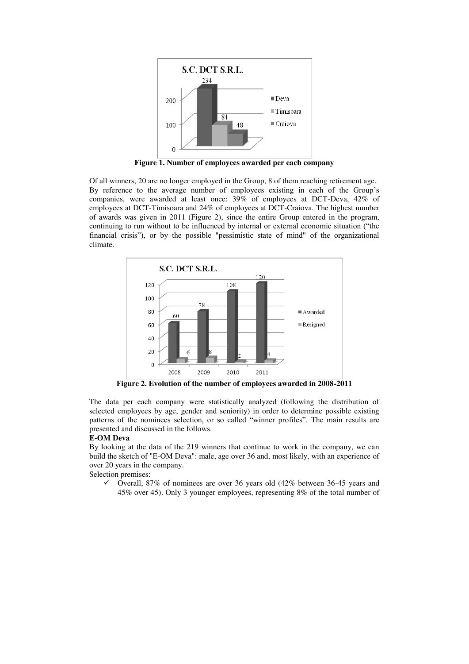

**Figure 1. Number of employees awarded per each company** 

Of all winners, 20 are no longer employed in the Group, 8 of them reaching retirement age. By reference to the average number of employees existing in each of the Group's companies, were awarded at least once: 39% of employees at DCT-Deva, 42% of employees at DCT-Timisoara and 24% of employees at DCT-Craiova. The highest number of awards was given in 2011 (Figure 2), since the entire Group entered in the program, continuing to run without to be influenced by internal or external economic situation ("the financial crisis"), or by the possible "pessimistic state of mind" of the organizational climate.



**Figure 2. Evolution of the number of employees awarded in 2008-2011** 

The data per each company were statistically analyzed (following the distribution of selected employees by age, gender and seniority) in order to determine possible existing patterns of the nominees selection, or so called "winner profiles". The main results are presented and discussed in the follows.

#### **E-OM Deva**

By looking at the data of the 219 winners that continue to work in the company, we can build the sketch of "E-OM Deva": male, age over 36 and, most likely, with an experience of over 20 years in the company.

Selection premises:<br> $\checkmark$  Overall 8

 Overall, 87% of nominees are over 36 years old (42% between 36-45 years and 45% over 45). Only 3 younger employees, representing 8% of the total number of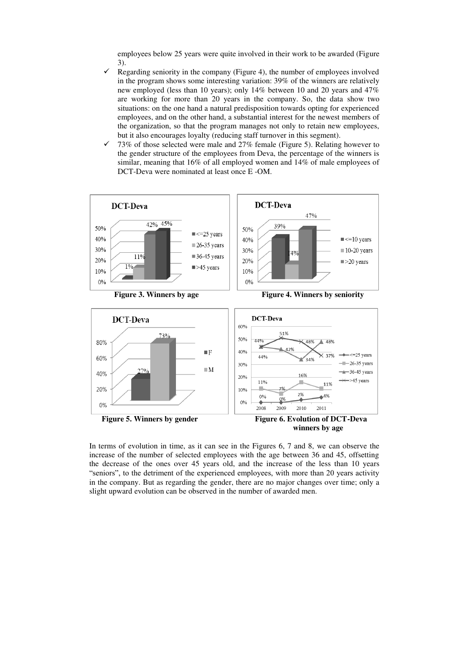employees below 25 years were quite involved in their work to be awarded (Figure 3).

- Regarding seniority in the company (Figure 4), the number of employees involved in the program shows some interesting variation: 39% of the winners are relatively new employed (less than 10 years); only 14% between 10 and 20 years and 47% are working for more than 20 years in the company. So, the data show two situations: on the one hand a natural predisposition towards opting for experienced employees, and on the other hand, a substantial interest for the newest members of the organization, so that the program manages not only to retain new employees, but it also encourages loyalty (reducing staff turnover in this segment).
- 73% of those selected were male and 27% female (Figure 5). Relating however to the gender structure of the employees from Deva, the percentage of the winners is similar, meaning that 16% of all employed women and 14% of male employees of DCT-Deva were nominated at least once E -OM.



In terms of evolution in time, as it can see in the Figures 6, 7 and 8, we can observe the increase of the number of selected employees with the age between 36 and 45, offsetting the decrease of the ones over 45 years old, and the increase of the less than 10 years "seniors", to the detriment of the experienced employees, with more than 20 years activity in the company. But as regarding the gender, there are no major changes over time; only a slight upward evolution can be observed in the number of awarded men.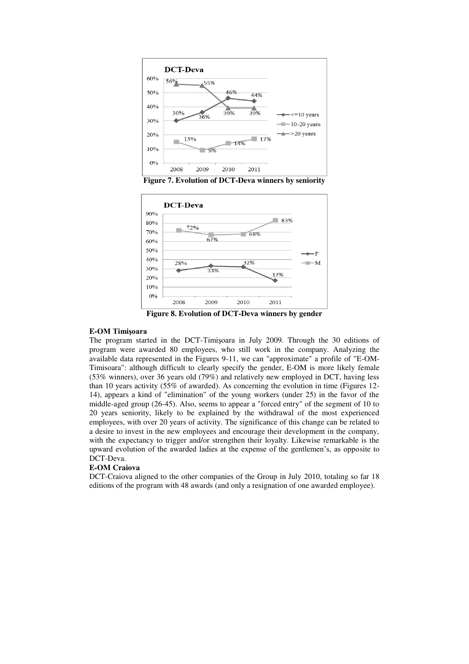

**Figure 7. Evolution of DCT-Deva winners by seniority** 



**Figure 8. Evolution of DCT-Deva winners by gender** 

#### **E-OM Timişoara**

The program started in the DCT-Timişoara in July 2009. Through the 30 editions of program were awarded 80 employees, who still work in the company. Analyzing the available data represented in the Figures 9-11, we can "approximate" a profile of "E-OM-Timisoara": although difficult to clearly specify the gender, E-OM is more likely female (53% winners), over 36 years old (79%) and relatively new employed in DCT, having less than 10 years activity (55% of awarded). As concerning the evolution in time (Figures 12- 14), appears a kind of "elimination" of the young workers (under 25) in the favor of the middle-aged group (26-45). Also, seems to appear a "forced entry" of the segment of 10 to 20 years seniority, likely to be explained by the withdrawal of the most experienced employees, with over 20 years of activity. The significance of this change can be related to a desire to invest in the new employees and encourage their development in the company, with the expectancy to trigger and/or strengthen their loyalty. Likewise remarkable is the upward evolution of the awarded ladies at the expense of the gentlemen's, as opposite to DCT-Deva.

#### **E-OM Craiova**

DCT-Craiova aligned to the other companies of the Group in July 2010, totaling so far 18 editions of the program with 48 awards (and only a resignation of one awarded employee).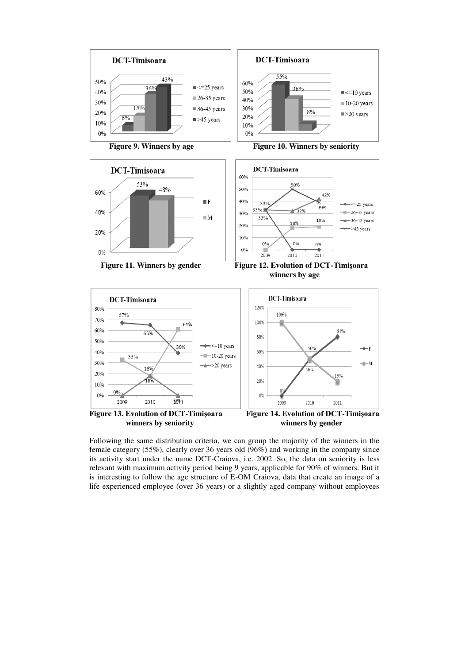













 $\overline{a}$ 



Following the same distribution criteria, we can group the majority of the winners in the female category (55%), clearly over 36 years old (96%) and working in the company since its activity start under the name DCT-Craiova, i.e. 2002. So, the data on seniority is less relevant with maximum activity period being 9 years, applicable for 90% of winners. But it is interesting to follow the age structure of E-OM Craiova, data that create an image of a life experienced employee (over 36 years) or a slightly aged company without employees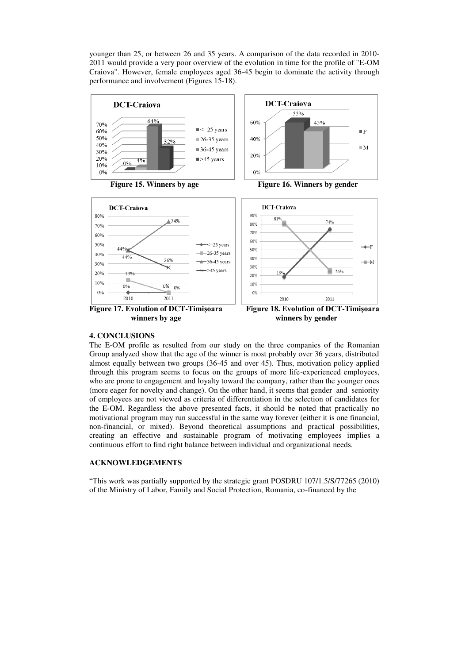younger than 25, or between 26 and 35 years. A comparison of the data recorded in 2010- 2011 would provide a very poor overview of the evolution in time for the profile of "E-OM Craiova". However, female employees aged 36-45 begin to dominate the activity through performance and involvement (Figures 15-18).



**winners by age winners by gender** 

2011

**Figure 17. Evolution of DCT-Timişoara Figure 18. Evolution of DCT-Timişoara**

2011

2010

#### **4. CONCLUSIONS**

2010

The E-OM profile as resulted from our study on the three companies of the Romanian Group analyzed show that the age of the winner is most probably over 36 years, distributed almost equally between two groups (36-45 and over 45). Thus, motivation policy applied through this program seems to focus on the groups of more life-experienced employees, who are prone to engagement and loyalty toward the company, rather than the younger ones (more eager for novelty and change). On the other hand, it seems that gender and seniority of employees are not viewed as criteria of differentiation in the selection of candidates for the E-OM. Regardless the above presented facts, it should be noted that practically no motivational program may run successful in the same way forever (either it is one financial, non-financial, or mixed). Beyond theoretical assumptions and practical possibilities, creating an effective and sustainable program of motivating employees implies a continuous effort to find right balance between individual and organizational needs.

 $\begin{array}{c} \hline \end{array}$ 

#### **ACKNOWLEDGEMENTS**

"This work was partially supported by the strategic grant POSDRU 107/1.5/S/77265 (2010) of the Ministry of Labor, Family and Social Protection, Romania, co-financed by the